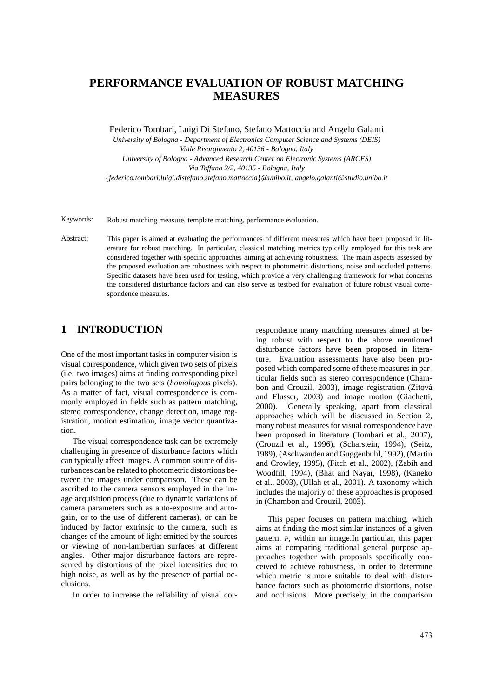# **PERFORMANCE EVALUATION OF ROBUST MATCHING MEASURES**

Federico Tombari, Luigi Di Stefano, Stefano Mattoccia and Angelo Galanti

*University of Bologna - Department of Electronics Computer Science and Systems (DEIS) Viale Risorgimento 2, 40136 - Bologna, Italy University of Bologna - Advanced Research Center on Electronic Systems (ARCES) Via Toffano 2/2, 40135 - Bologna, Italy* {*federico.tombari,luigi.distefano,stefano.mattoccia*}*@unibo.it, angelo.galanti@studio.unibo.it*

Keywords: Robust matching measure, template matching, performance evaluation.

Abstract: This paper is aimed at evaluating the performances of different measures which have been proposed in literature for robust matching. In particular, classical matching metrics typically employed for this task are considered together with specific approaches aiming at achieving robustness. The main aspects assessed by the proposed evaluation are robustness with respect to photometric distortions, noise and occluded patterns. Specific datasets have been used for testing, which provide a very challenging framework for what concerns the considered disturbance factors and can also serve as testbed for evaluation of future robust visual correspondence measures.

#### **1 INTRODUCTION**

One of the most important tasks in computer vision is visual correspondence, which given two sets of pixels (i.e. two images) aims at finding corresponding pixel pairs belonging to the two sets (*homologous* pixels). As a matter of fact, visual correspondence is commonly employed in fields such as pattern matching, stereo correspondence, change detection, image registration, motion estimation, image vector quantization.

The visual correspondence task can be extremely challenging in presence of disturbance factors which can typically affect images. A common source of disturbances can be related to photometric distortions between the images under comparison. These can be ascribed to the camera sensors employed in the image acquisition process (due to dynamic variations of camera parameters such as auto-exposure and autogain, or to the use of different cameras), or can be induced by factor extrinsic to the camera, such as changes of the amount of light emitted by the sources or viewing of non-lambertian surfaces at different angles. Other major disturbance factors are represented by distortions of the pixel intensities due to high noise, as well as by the presence of partial occlusions.

In order to increase the reliability of visual cor-

respondence many matching measures aimed at being robust with respect to the above mentioned disturbance factors have been proposed in literature. Evaluation assessments have also been proposed which compared some of these measures in particular fields such as stereo correspondence (Chambon and Crouzil, 2003), image registration (Zitová and Flusser, 2003) and image motion (Giachetti, 2000). Generally speaking, apart from classical approaches which will be discussed in Section 2, many robust measures for visual correspondence have been proposed in literature (Tombari et al., 2007), (Crouzil et al., 1996), (Scharstein, 1994), (Seitz, 1989), (Aschwanden and Guggenbuhl, 1992), (Martin and Crowley, 1995), (Fitch et al., 2002), (Zabih and Woodfill, 1994), (Bhat and Nayar, 1998), (Kaneko et al., 2003), (Ullah et al., 2001). A taxonomy which includes the majority of these approaches is proposed in (Chambon and Crouzil, 2003).

This paper focuses on pattern matching, which aims at finding the most similar instances of a given pattern, *P*, within an image.In particular, this paper aims at comparing traditional general purpose approaches together with proposals specifically conceived to achieve robustness, in order to determine which metric is more suitable to deal with disturbance factors such as photometric distortions, noise and occlusions. More precisely, in the comparison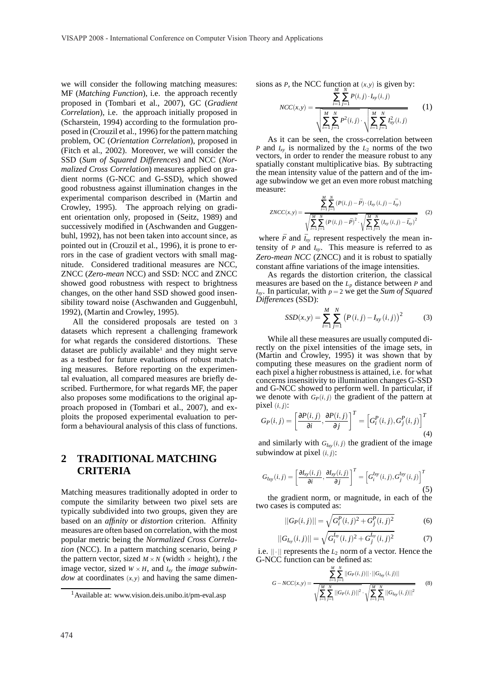we will consider the following matching measures: MF (*Matching Function*), i.e. the approach recently proposed in (Tombari et al., 2007), GC (*Gradient Correlation*), i.e. the approach initially proposed in (Scharstein, 1994) according to the formulation proposed in (Crouzil et al., 1996) for the pattern matching problem, OC (*Orientation Correlation*), proposed in (Fitch et al., 2002). Moreover, we will consider the SSD (*Sum of Squared Differences*) and NCC (*Normalized Cross Correlation*) measures applied on gradient norms (G-NCC and G-SSD), which showed good robustness against illumination changes in the experimental comparison described in (Martin and Crowley, 1995). The approach relying on gradient orientation only, proposed in (Seitz, 1989) and successively modified in (Aschwanden and Guggenbuhl, 1992), has not been taken into account since, as pointed out in (Crouzil et al., 1996), it is prone to errors in the case of gradient vectors with small magnitude. Considered traditional measures are NCC, ZNCC (*Zero-mean* NCC) and SSD: NCC and ZNCC showed good robustness with respect to brightness changes, on the other hand SSD showed good insensibility toward noise (Aschwanden and Guggenbuhl, 1992), (Martin and Crowley, 1995).

All the considered proposals are tested on 3 datasets which represent a challenging framework for what regards the considered distortions. These dataset are publicly available<sup>1</sup> and they might serve as a testbed for future evaluations of robust matching measures. Before reporting on the experimental evaluation, all compared measures are briefly described. Furthermore, for what regards MF, the paper also proposes some modifications to the original approach proposed in (Tombari et al., 2007), and exploits the proposed experimental evaluation to perform a behavioural analysis of this class of functions.

# **2 TRADITIONAL MATCHING CRITERIA**

Matching measures traditionally adopted in order to compute the similarity between two pixel sets are typically subdivided into two groups, given they are based on an *affinity* or *distortion* criterion. Affinity measures are often based on correlation, with the most popular metric being the *Normalized Cross Correlation* (NCC). In a pattern matching scenario, being *P* the pattern vector, sized  $M \times N$  (width  $\times$  height), *I* the image vector, sized  $W \times H$ , and  $I_{xy}$  the *image subwindow* at coordinates (*x*,*y*) and having the same dimensions as *P*, the NCC function at  $(x, y)$  is given by:

$$
NCC(x,y) = \frac{\sum_{i=1}^{N} \sum_{j=1}^{N} P(i,j) \cdot I_{xy}(i,j)}{\sqrt{\sum_{i=1}^{M} \sum_{j=1}^{N} P^{2}(i,j) \cdot \sqrt{\sum_{i=1}^{M} \sum_{j=1}^{N} I_{xy}^{2}(i,j)}}
$$
 (1)

As it can be seen, the cross-correlation between *P* and *Ixy* is normalized by the *L*<sup>2</sup> norms of the two vectors, in order to render the measure robust to any spatially constant multiplicative bias. By subtracting the mean intensity value of the pattern and of the image subwindow we get an even more robust matching measure:

$$
ZNCC(x,y) = \frac{\sum_{i=1}^{M} \sum_{j=1}^{N} (P(i,j) - \bar{P}) \cdot (I_{xy}(i,j) - \bar{I}_{xy})}{\sqrt{\sum_{i=1}^{M} \sum_{j=1}^{N} (P(i,j) - \bar{P})^{2}} \cdot \sqrt{\sum_{i=1}^{M} \sum_{j=1}^{N} (I_{xy}(i,j) - \bar{I}_{xy})^{2}}}
$$
(2)

where  $\bar{P}$  and  $\bar{I}_{xy}$  represent respectively the mean intensity of *P* and *Ixy*. This measure is referred to as *Zero-mean NCC* (ZNCC) and it is robust to spatially constant affine variations of the image intensities.

As regards the distortion criterion, the classical measures are based on the *L<sup>p</sup>* distance between *P* and *Ixy*. In particular, with *p* = 2 we get the *Sum of Squared Differences* (SSD):

$$
SSD(x, y) = \sum_{i=1}^{M} \sum_{j=1}^{N} (P(i, j) - I_{xy}(i, j))^{2}
$$
 (3)

While all these measures are usually computed directly on the pixel intensities of the image sets, in (Martin and Crowley, 1995) it was shown that by computing these measures on the gradient norm of each pixel a higher robustness is attained, i.e. for what concerns insensitivity to illumination changes G-SSD and G-NCC showed to perform well. In particular, if we denote with  $G_P(i, j)$  the gradient of the pattern at pixel  $(i, j)$ :

$$
G_P(i,j) = \left[\frac{\partial P(i,j)}{\partial i}, \frac{\partial P(i,j)}{\partial j}\right]^T = \left[G_i^P(i,j), G_j^P(i,j)\right]^T
$$
\n(4)

and similarly with  $G_{I_{xy}}(i, j)$  the gradient of the image subwindow at pixel  $(i, j)$ :

$$
G_{I_{xy}}(i,j) = \left[\frac{\partial I_{xy}(i,j)}{\partial i}, \frac{\partial I_{xy}(i,j)}{\partial j}\right]^T = \left[G_i^{I_{xy}}(i,j), G_j^{I_{xy}}(i,j)\right]^T
$$
\n(5)

the gradient norm, or magnitude, in each of the two cases is computed as:

$$
||G_P(i,j)|| = \sqrt{G_i^P(i,j)^2 + G_j^P(i,j)^2}
$$
 (6)

$$
||G_{I_{xy}}(i,j)|| = \sqrt{G_i^{I_{xy}}(i,j)^2 + G_j^{I_{xy}}(i,j)^2}
$$
 (7)

i.e.  $|| \cdot ||$  represents the  $L_2$  norm of a vector. Hence the G-NCC function can be defined as:

$$
G-NCC(x,y) = \frac{\sum_{i=1}^{M} \sum_{j=1}^{N} ||G_P(i,j)|| \cdot ||G_{I_{xy}}(i,j)||}{\sqrt{\sum_{i=1}^{M} \sum_{j=1}^{N} ||G_P(i,j)||^2} \cdot \sqrt{\sum_{i=1}^{M} \sum_{j=1}^{N} ||G_{I_{xy}}(i,j)||^2}}
$$
(8)

<sup>&</sup>lt;sup>1</sup>Available at: www.vision.deis.unibo.it/pm-eval.asp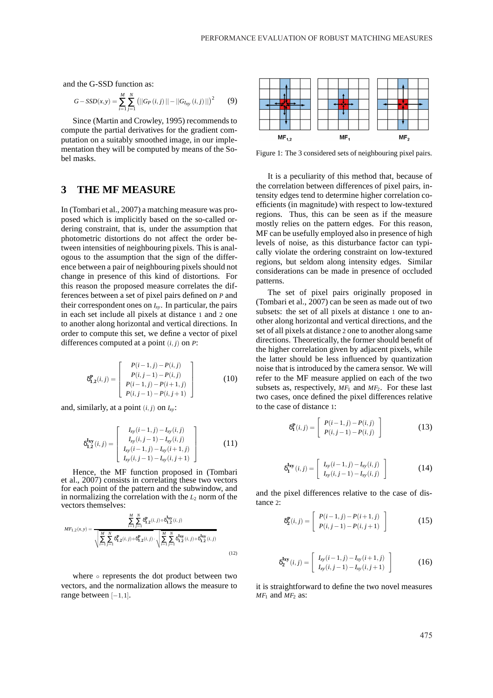and the G-SSD function as:

$$
G - SSD(x, y) = \sum_{i=1}^{M} \sum_{j=1}^{N} (||G_P(i, j)|| - ||G_{I_{xy}}(i, j)||)^2
$$
 (9)

Since (Martin and Crowley, 1995) recommends to compute the partial derivatives for the gradient computation on a suitably smoothed image, in our implementation they will be computed by means of the Sobel masks.

## **3 THE MF MEASURE**

In (Tombari et al., 2007) a matching measure was proposed which is implicitly based on the so-called ordering constraint, that is, under the assumption that photometric distortions do not affect the order between intensities of neighbouring pixels. This is analogous to the assumption that the sign of the difference between a pair of neighbouring pixels should not change in presence of this kind of distortions. For this reason the proposed measure correlates the differences between a set of pixel pairs defined on *P* and their correspondent ones on *Ixy*. In particular, the pairs in each set include all pixels at distance 1 and 2 one to another along horizontal and vertical directions. In order to compute this set, we define a vector of pixel differences computed at a point  $(i, j)$  on  $P$ :

$$
\delta_{1,2}^{P}(i,j) = \begin{bmatrix} P(i-1,j) - P(i,j) \\ P(i,j-1) - P(i,j) \\ P(i-1,j) - P(i+1,j) \\ P(i,j-1) - P(i,j+1) \end{bmatrix}
$$
(10)

and, similarly, at a point  $(i, j)$  on  $I_{xy}$ :

$$
\delta_{1,2}^{\mathbf{I}_{xy}}(i,j) = \begin{bmatrix} I_{xy}(i-1,j) - I_{xy}(i,j) \\ I_{xy}(i,j-1) - I_{xy}(i,j) \\ I_{xy}(i-1,j) - I_{xy}(i+1,j) \\ I_{xy}(i,j-1) - I_{xy}(i,j+1) \end{bmatrix}
$$
(11)

Hence, the MF function proposed in (Tombari et al., 2007) consists in correlating these two vectors for each point of the pattern and the subwindow, and in normalizing the correlation with the  $L_2$  norm of the vectors themselves:

$$
MF_{1,2}(x,y) = \frac{\sum_{i=1}^{M} \sum_{j=1}^{N} \delta_{1,2}^{P}(i,j) \circ \delta_{1,2}^{Lxy}(i,j)}{\sqrt{\sum_{i=1}^{M} \sum_{j=1}^{N} \delta_{1,2}^{P}(i,j) \circ \delta_{1,2}^{P}(i,j) \cdot \sqrt{\sum_{i=1}^{M} \sum_{j=1}^{N} \delta_{1,2}^{Lxy}(i,j) \circ \delta_{1,2}^{Lxy}(i,j)}}
$$
(12)

where ∘ represents the dot product between two vectors, and the normalization allows the measure to range between [−1,1].



Figure 1: The 3 considered sets of neighbouring pixel pairs.

It is a peculiarity of this method that, because of the correlation between differences of pixel pairs, intensity edges tend to determine higher correlation coefficients (in magnitude) with respect to low-textured regions. Thus, this can be seen as if the measure mostly relies on the pattern edges. For this reason, MF can be usefully employed also in presence of high levels of noise, as this disturbance factor can typically violate the ordering constraint on low-textured regions, but seldom along intensity edges. Similar considerations can be made in presence of occluded patterns.

The set of pixel pairs originally proposed in (Tombari et al., 2007) can be seen as made out of two subsets: the set of all pixels at distance 1 one to another along horizontal and vertical directions, and the set of all pixels at distance 2 one to another along same directions. Theoretically, the former should benefit of the higher correlation given by adjacent pixels, while the latter should be less influenced by quantization noise that is introduced by the camera sensor. We will refer to the MF measure applied on each of the two subsets as, respectively, *MF*<sup>1</sup> and *MF*2. For these last two cases, once defined the pixel differences relative to the case of distance 1:

$$
\delta_{\mathbf{1}}^{\mathbf{P}}(i,j) = \begin{bmatrix} P(i-1,j) - P(i,j) \\ P(i,j-1) - P(i,j) \end{bmatrix}
$$
 (13)

$$
\delta_{\mathbf{1}}^{\mathbf{I}_{\mathbf{X}\mathbf{y}}}(i,j) = \left[ \begin{array}{c} I_{\mathbf{X}\mathbf{y}}(i-1,j) - I_{\mathbf{X}\mathbf{y}}(i,j) \\ I_{\mathbf{X}\mathbf{y}}(i,j-1) - I_{\mathbf{X}\mathbf{y}}(i,j) \end{array} \right] \tag{14}
$$

and the pixel differences relative to the case of distance 2<sup>+</sup>

$$
\delta_2^P(i,j) = \begin{bmatrix} P(i-1,j) - P(i+1,j) \\ P(i,j-1) - P(i,j+1) \end{bmatrix}
$$
 (15)

$$
\delta_{2}^{\mathbf{I}_{xy}}(i,j) = \begin{bmatrix} I_{xy}(i-1,j) - I_{xy}(i+1,j) \\ I_{xy}(i,j-1) - I_{xy}(i,j+1) \end{bmatrix}
$$
 (16)

it is straightforward to define the two novel measures  $MF_1$  and  $MF_2$  as: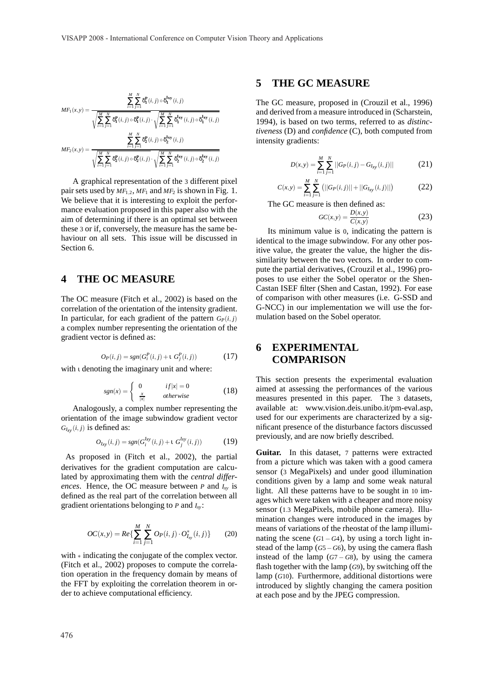$$
MF_1(x,y) = \frac{\sum_{i=1}^{M} \sum_{j=1}^{N} \delta_1^P(i,j) \circ \delta_1^{\text{Ixy}}(i,j)}{\sqrt{\sum_{i=1}^{M} \sum_{j=1}^{N} \delta_1^P(i,j) \circ \delta_1^P(i,j)} \cdot \sqrt{\sum_{i=1}^{M} \sum_{j=1}^{N} \delta_1^{\text{Ixy}}(i,j) \circ \delta_1^{\text{Ixy}}(i,j)}}
$$

$$
MF_2(x,y) = \frac{\sum_{i=1}^{M} \sum_{j=1}^{N} \delta_2^P(i,j) \circ \delta_2^{\text{Ixy}}(i,j)}{\sqrt{\sum_{i=1}^{M} \sum_{j=1}^{N} \delta_2^P(i,j) \circ \delta_2^P(i,j)} \cdot \sqrt{\sum_{i=1}^{M} \sum_{j=1}^{N} \delta_2^{\text{Ixy}}(i,j) \circ \delta_2^{\text{Ixy}}(i,j)}}
$$

A graphical representation of the 3 different pixel pair sets used by  $MF_{1,2}$ ,  $MF_1$  and  $MF_2$  is shown in Fig. 1. We believe that it is interesting to exploit the performance evaluation proposed in this paper also with the aim of determining if there is an optimal set between these 3 or if, conversely, the measure has the same behaviour on all sets. This issue will be discussed in Section 6.

#### **4 THE OC MEASURE**

The OC measure (Fitch et al., 2002) is based on the correlation of the orientation of the intensity gradient. In particular, for each gradient of the pattern  $G_P(i, j)$ a complex number representing the orientation of the gradient vector is defined as:

$$
O_P(i, j) = sgn(G_i^P(i, j) + \iota \ G_j^P(i, j))
$$
 (17)

with ι denoting the imaginary unit and where:

$$
sgn(x) = \begin{cases} 0 & if |x| = 0\\ \frac{x}{|x|} & otherwise \end{cases}
$$
 (18)

Analogously, a complex number representing the orientation of the image subwindow gradient vector  $G_{Ixy}(i, j)$  is defined as:

$$
O_{Ixy}(i,j) = sgn(G_i^{Ixy}(i,j) + \iota \ G_j^{Ixy}(i,j))
$$
 (19)

As proposed in (Fitch et al., 2002), the partial derivatives for the gradient computation are calculated by approximating them with the *central differences*. Hence, the OC measure between *P* and *Ixy* is defined as the real part of the correlation between all gradient orientations belonging to *P* and *Ixy*:

$$
OC(x, y) = Re\{\sum_{i=1}^{M} \sum_{j=1}^{N} Op(i, j) \cdot O_{I_{xy}}^{*}(i, j)\}
$$
 (20)

with ∗ indicating the conjugate of the complex vector. (Fitch et al., 2002) proposes to compute the correlation operation in the frequency domain by means of the FFT by exploiting the correlation theorem in order to achieve computational efficiency.

### **5 THE GC MEASURE**

The GC measure, proposed in (Crouzil et al., 1996) and derived from a measure introduced in (Scharstein, 1994), is based on two terms, referred to as *distinctiveness* (D) and *confidence* (C), both computed from intensity gradients:

$$
D(x,y) = \sum_{i=1}^{M} \sum_{j=1}^{N} ||G_P(i,j) - G_{Ixy}(i,j)||
$$
 (21)

$$
C(x,y) = \sum_{i=1}^{M} \sum_{j=1}^{N} (||G_P(i,j)|| + ||G_{Ixy}(i,j)||)
$$
 (22)

The GC measure is then defined as:

$$
GC(x,y) = \frac{D(x,y)}{C(x,y)}\tag{23}
$$

Its minimum value is 0, indicating the pattern is identical to the image subwindow. For any other positive value, the greater the value, the higher the dissimilarity between the two vectors. In order to compute the partial derivatives, (Crouzil et al., 1996) proposes to use either the Sobel operator or the Shen-Castan ISEF filter (Shen and Castan, 1992). For ease of comparison with other measures (i.e. G-SSD and G-NCC) in our implementation we will use the formulation based on the Sobel operator.

#### **6 EXPERIMENTAL COMPARISON**

This section presents the experimental evaluation aimed at assessing the performances of the various measures presented in this paper. The 3 datasets, available at: www.vision.deis.unibo.it/pm-eval.asp, used for our experiments are characterized by a significant presence of the disturbance factors discussed previously, and are now briefly described.

Guitar. In this dataset, 7 patterns were extracted from a picture which was taken with a good camera sensor (3 MegaPixels) and under good illumination conditions given by a lamp and some weak natural light. All these patterns have to be sought in 10 images which were taken with a cheaper and more noisy sensor (1.<sup>3</sup> MegaPixels, mobile phone camera). Illumination changes were introduced in the images by means of variations of the rheostat of the lamp illuminating the scene  $(G1 - G4)$ , by using a torch light instead of the lamp (*G*5−*G*6), by using the camera flash instead of the lamp  $(G7 - G8)$ , by using the camera flash together with the lamp (*G*9), by switching off the lamp (*G*10). Furthermore, additional distortions were introduced by slightly changing the camera position at each pose and by the JPEG compression.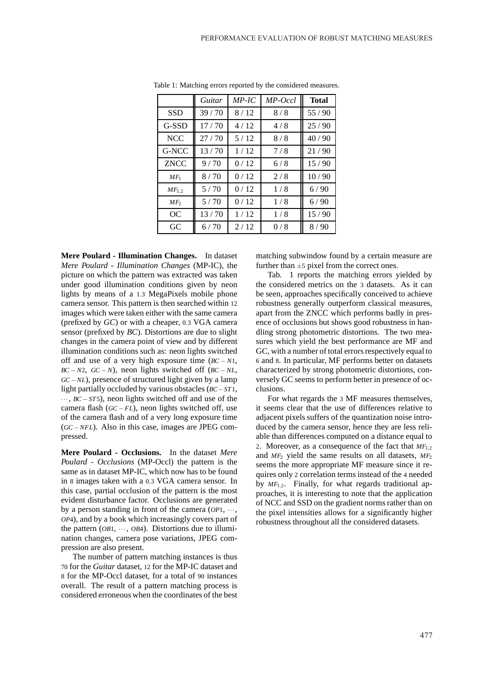|                 | Guitar | $MP$ -IC | MP-Occl | <b>Total</b> |
|-----------------|--------|----------|---------|--------------|
| <b>SSD</b>      | 39/70  | 8/12     | 8/8     | 55/90        |
| G-SSD           | 17/70  | 4/12     | 4/8     | 25/90        |
| <b>NCC</b>      | 27/70  | 5/12     | 8/8     | 40/90        |
| G-NCC           | 13/70  | 1/12     | 7/8     | 21/90        |
| <b>ZNCC</b>     | 9/70   | 0/12     | 6/8     | 15/90        |
| $MF_1$          | 8/70   | 0/12     | 2/8     | 10/90        |
| $MF_{1,2}$      | 5/70   | 0/12     | 1/8     | 6/90         |
| MF <sub>2</sub> | 5/70   | 0/12     | 1/8     | 6/90         |
| OC              | 13/70  | 1/12     | 1/8     | 15/90        |
| GC              | 6/70   | 2/12     | 0/8     | 8/90         |

Table 1: Matching errors reported by the considered measures.

**Mere Poulard - Illumination Changes.** In dataset *Mere Poulard - Illumination Changes* (MP-IC), the picture on which the pattern was extracted was taken under good illumination conditions given by neon lights by means of a <sup>1</sup>.<sup>3</sup> MegaPixels mobile phone camera sensor. This pattern is then searched within 12 images which were taken either with the same camera (prefixed by *GC*) or with a cheaper, <sup>0</sup>.<sup>3</sup> VGA camera sensor (prefixed by *BC*). Distortions are due to slight changes in the camera point of view and by different illumination conditions such as: neon lights switched off and use of a very high exposure time (*BC* − *N*1, *BC* − *N*2, *GC* − *N*), neon lights switched off (*BC* − *NL*, *GC* − *NL*), presence of structured light given by a lamp light partially occluded by various obstacles (*BC*−*ST*1, ··· , *BC* −*ST*5), neon lights switched off and use of the camera flash (*GC* − *FL*), neon lights switched off, use of the camera flash and of a very long exposure time (*GC* −*NFL*). Also in this case, images are JPEG compressed.

**Mere Poulard - Occlusions.** In the dataset *Mere Poulard - Occlusions* (MP-Occl) the pattern is the same as in dataset MP-IC, which now has to be found in <sup>8</sup> images taken with a <sup>0</sup>.<sup>3</sup> VGA camera sensor. In this case, partial occlusion of the pattern is the most evident disturbance factor. Occlusions are generated by a person standing in front of the camera (*OP*1, ···, *OP*4), and by a book which increasingly covers part of the pattern (*OB*1,  $\cdots$ , *OB*4). Distortions due to illumination changes, camera pose variations, JPEG compression are also present.

The number of pattern matching instances is thus 70 for the *Guitar* dataset, 12 for the MP-IC dataset and 8 for the MP-Occl dataset, for a total of 90 instances overall. The result of a pattern matching process is considered erroneous when the coordinates of the best

matching subwindow found by a certain measure are further than  $\pm$ 5 pixel from the correct ones.

Tab. 1 reports the matching errors yielded by the considered metrics on the 3 datasets. As it can be seen, approaches specifically conceived to achieve robustness generally outperform classical measures, apart from the ZNCC which performs badly in presence of occlusions but shows good robustness in handling strong photometric distortions. The two measures which yield the best performance are MF and GC, with a number of total errors respectively equal to 6 and 8. In particular, MF performs better on datasets characterized by strong photometric distortions, conversely GC seems to perform better in presence of occlusions.

For what regards the 3 MF measures themselves, it seems clear that the use of differences relative to adjacent pixels suffers of the quantization noise introduced by the camera sensor, hence they are less reliable than differences computed on a distance equal to <sup>2</sup>. Moreover, as a consequence of the fact that *MF*1,<sup>2</sup> and *MF*<sup>2</sup> yield the same results on all datasets, *MF*<sup>2</sup> seems the more appropriate MF measure since it requires only 2 correlation terms instead of the 4 needed by *MF*1,<sup>2</sup>. Finally, for what regards traditional approaches, it is interesting to note that the application of NCC and SSD on the gradient norms rather than on the pixel intensities allows for a significantly higher robustness throughout all the considered datasets.